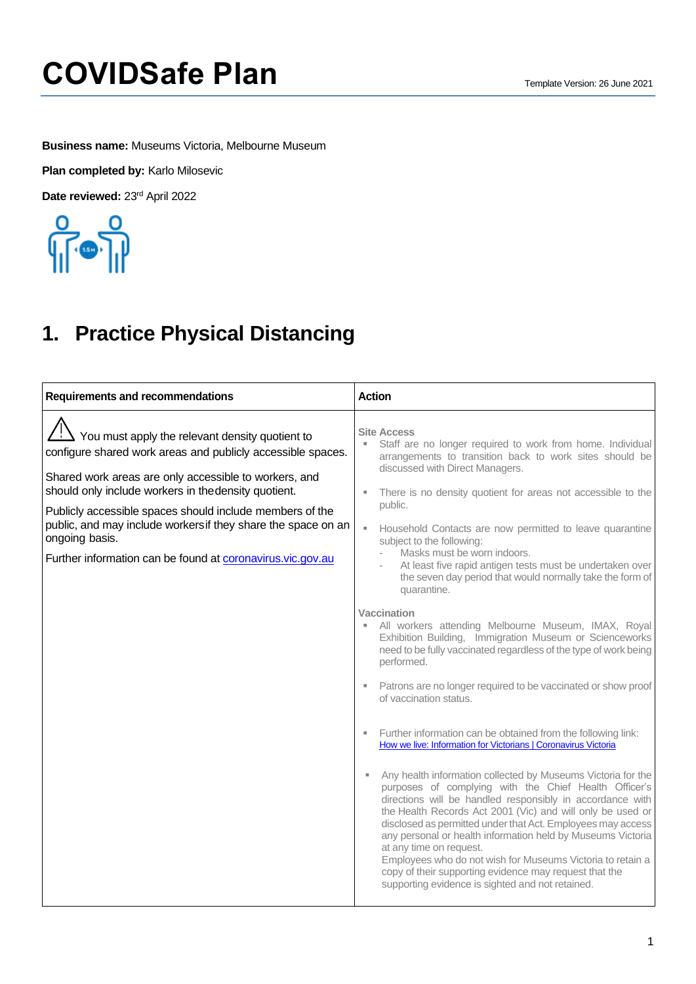**Business name:** Museums Victoria, Melbourne Museum

**Plan completed by:** Karlo Milosevic

Date reviewed: 23<sup>rd</sup> April 2022



### **1. Practice Physical Distancing**

| <b>Requirements and recommendations</b>                                                                                                                                                                                                                                                                                                                                                                                                                     | <b>Action</b>                                                                                                                                                                                                                                                                                                                                                                                                                                                                                                                                                                                                                                                                                                                                                                                                                                                                                                                                                                                                                                                                                                                                                                                                                                                                                                                                                                                                                                                                                                                                                                          |
|-------------------------------------------------------------------------------------------------------------------------------------------------------------------------------------------------------------------------------------------------------------------------------------------------------------------------------------------------------------------------------------------------------------------------------------------------------------|----------------------------------------------------------------------------------------------------------------------------------------------------------------------------------------------------------------------------------------------------------------------------------------------------------------------------------------------------------------------------------------------------------------------------------------------------------------------------------------------------------------------------------------------------------------------------------------------------------------------------------------------------------------------------------------------------------------------------------------------------------------------------------------------------------------------------------------------------------------------------------------------------------------------------------------------------------------------------------------------------------------------------------------------------------------------------------------------------------------------------------------------------------------------------------------------------------------------------------------------------------------------------------------------------------------------------------------------------------------------------------------------------------------------------------------------------------------------------------------------------------------------------------------------------------------------------------------|
| $\frac{11}{21}$ You must apply the relevant density quotient to<br>configure shared work areas and publicly accessible spaces.<br>Shared work areas are only accessible to workers, and<br>should only include workers in the density quotient.<br>Publicly accessible spaces should include members of the<br>public, and may include workersif they share the space on an<br>ongoing basis.<br>Further information can be found at coronavirus.vic.gov.au | <b>Site Access</b><br>Staff are no longer required to work from home. Individual<br>arrangements to transition back to work sites should be<br>discussed with Direct Managers.<br>There is no density quotient for areas not accessible to the<br>public.<br>Household Contacts are now permitted to leave quarantine<br>×.<br>subject to the following:<br>Masks must be worn indoors.<br>At least five rapid antigen tests must be undertaken over<br>the seven day period that would normally take the form of<br>quarantine.<br><b>Vaccination</b><br>All workers attending Melbourne Museum, IMAX, Royal<br>Exhibition Building, Immigration Museum or Scienceworks<br>need to be fully vaccinated regardless of the type of work being<br>performed.<br>Patrons are no longer required to be vaccinated or show proof<br>of vaccination status.<br>Further information can be obtained from the following link:<br>×.<br>How we live: Information for Victorians   Coronavirus Victoria<br>Any health information collected by Museums Victoria for the<br>purposes of complying with the Chief Health Officer's<br>directions will be handled responsibly in accordance with<br>the Health Records Act 2001 (Vic) and will only be used or<br>disclosed as permitted under that Act. Employees may access<br>any personal or health information held by Museums Victoria<br>at any time on request.<br>Employees who do not wish for Museums Victoria to retain a<br>copy of their supporting evidence may request that the<br>supporting evidence is sighted and not retained. |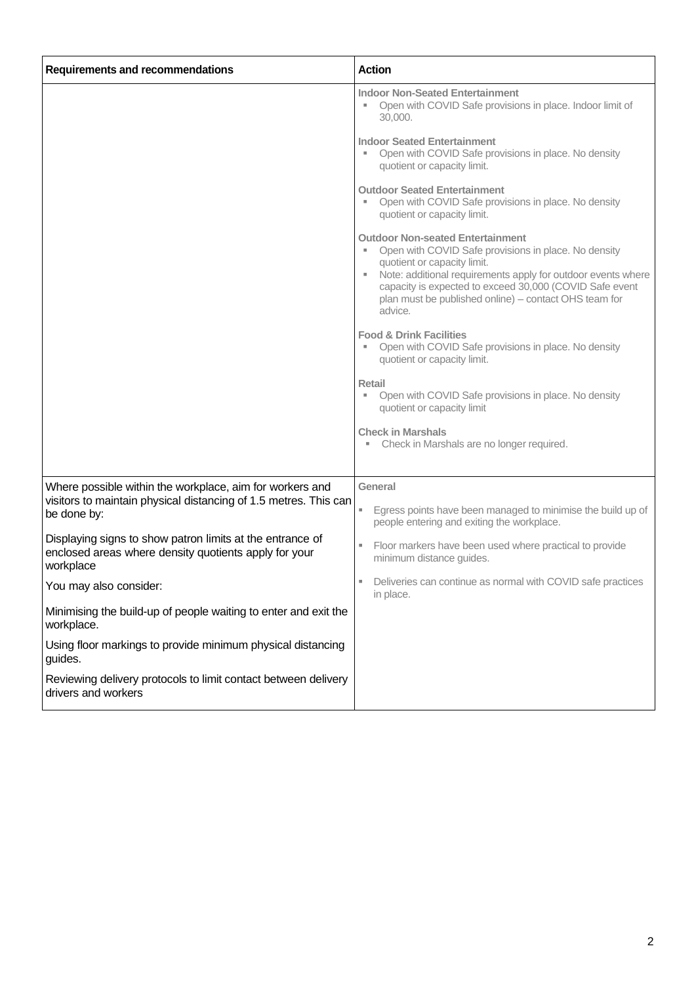| <b>Requirements and recommendations</b>                                                                                         | <b>Action</b>                                                                                                                                                                                                                                                                                                                       |
|---------------------------------------------------------------------------------------------------------------------------------|-------------------------------------------------------------------------------------------------------------------------------------------------------------------------------------------------------------------------------------------------------------------------------------------------------------------------------------|
|                                                                                                                                 | <b>Indoor Non-Seated Entertainment</b><br>Open with COVID Safe provisions in place. Indoor limit of<br>30,000.                                                                                                                                                                                                                      |
|                                                                                                                                 | <b>Indoor Seated Entertainment</b><br>Open with COVID Safe provisions in place. No density<br>quotient or capacity limit.                                                                                                                                                                                                           |
|                                                                                                                                 | <b>Outdoor Seated Entertainment</b><br>Open with COVID Safe provisions in place. No density<br>quotient or capacity limit.                                                                                                                                                                                                          |
|                                                                                                                                 | <b>Outdoor Non-seated Entertainment</b><br>Open with COVID Safe provisions in place. No density<br>quotient or capacity limit.<br>Note: additional requirements apply for outdoor events where<br>Ξ.<br>capacity is expected to exceed 30,000 (COVID Safe event<br>plan must be published online) – contact OHS team for<br>advice. |
|                                                                                                                                 | <b>Food &amp; Drink Facilities</b><br>Open with COVID Safe provisions in place. No density<br>quotient or capacity limit.                                                                                                                                                                                                           |
|                                                                                                                                 | Retail<br>Open with COVID Safe provisions in place. No density<br>quotient or capacity limit                                                                                                                                                                                                                                        |
|                                                                                                                                 | <b>Check in Marshals</b><br>Check in Marshals are no longer required.                                                                                                                                                                                                                                                               |
| Where possible within the workplace, aim for workers and                                                                        | General                                                                                                                                                                                                                                                                                                                             |
| visitors to maintain physical distancing of 1.5 metres. This can<br>be done by:                                                 | Egress points have been managed to minimise the build up of<br>people entering and exiting the workplace.                                                                                                                                                                                                                           |
| Displaying signs to show patron limits at the entrance of<br>enclosed areas where density quotients apply for your<br>workplace | Floor markers have been used where practical to provide<br>ш<br>minimum distance guides.                                                                                                                                                                                                                                            |
| You may also consider:                                                                                                          | Deliveries can continue as normal with COVID safe practices<br>н.<br>in place.                                                                                                                                                                                                                                                      |
| Minimising the build-up of people waiting to enter and exit the<br>workplace.                                                   |                                                                                                                                                                                                                                                                                                                                     |
| Using floor markings to provide minimum physical distancing<br>guides.                                                          |                                                                                                                                                                                                                                                                                                                                     |
| Reviewing delivery protocols to limit contact between delivery<br>drivers and workers                                           |                                                                                                                                                                                                                                                                                                                                     |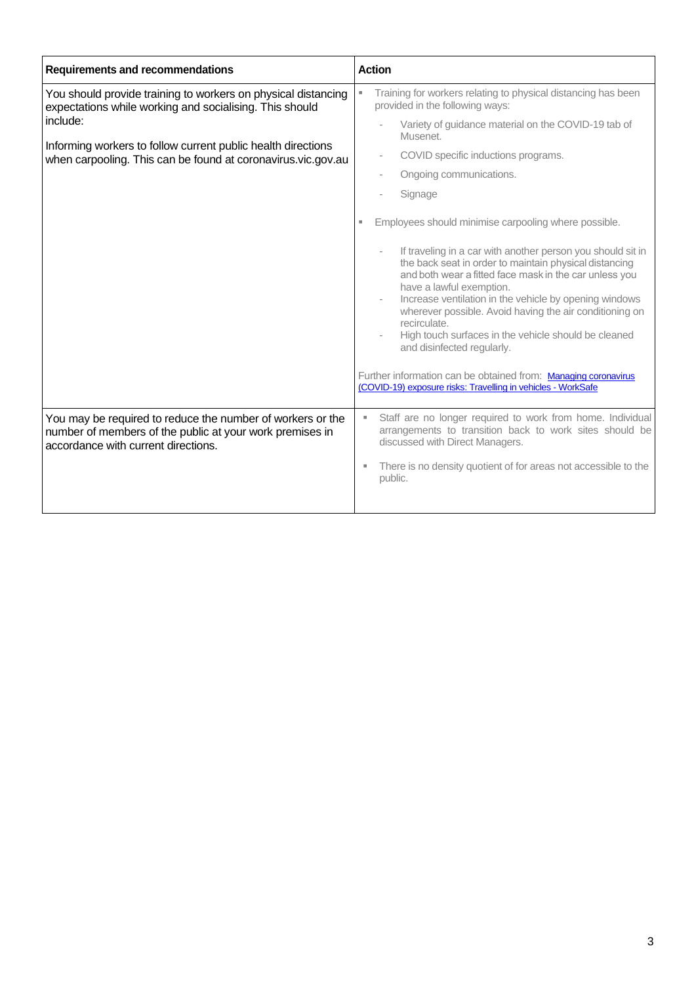| <b>Requirements and recommendations</b>                                                                                                                       | <b>Action</b>                                                                                                                                                                                                                                                                                                                                                                                                                          |
|---------------------------------------------------------------------------------------------------------------------------------------------------------------|----------------------------------------------------------------------------------------------------------------------------------------------------------------------------------------------------------------------------------------------------------------------------------------------------------------------------------------------------------------------------------------------------------------------------------------|
| You should provide training to workers on physical distancing<br>expectations while working and socialising. This should                                      | Training for workers relating to physical distancing has been<br>provided in the following ways:                                                                                                                                                                                                                                                                                                                                       |
| include:<br>Informing workers to follow current public health directions                                                                                      | Variety of guidance material on the COVID-19 tab of<br>Musenet.                                                                                                                                                                                                                                                                                                                                                                        |
| when carpooling. This can be found at coronavirus.vic.gov.au                                                                                                  | COVID specific inductions programs.<br>$\overline{\phantom{a}}$                                                                                                                                                                                                                                                                                                                                                                        |
|                                                                                                                                                               | Ongoing communications.                                                                                                                                                                                                                                                                                                                                                                                                                |
|                                                                                                                                                               | Signage                                                                                                                                                                                                                                                                                                                                                                                                                                |
|                                                                                                                                                               | Employees should minimise carpooling where possible.                                                                                                                                                                                                                                                                                                                                                                                   |
|                                                                                                                                                               | If traveling in a car with another person you should sit in<br>the back seat in order to maintain physical distancing<br>and both wear a fitted face mask in the car unless you<br>have a lawful exemption.<br>Increase ventilation in the vehicle by opening windows<br>wherever possible. Avoid having the air conditioning on<br>recirculate.<br>High touch surfaces in the vehicle should be cleaned<br>and disinfected regularly. |
|                                                                                                                                                               | Further information can be obtained from: Managing coronavirus<br>(COVID-19) exposure risks: Travelling in vehicles - WorkSafe                                                                                                                                                                                                                                                                                                         |
| You may be required to reduce the number of workers or the<br>number of members of the public at your work premises in<br>accordance with current directions. | Staff are no longer required to work from home. Individual<br>arrangements to transition back to work sites should be<br>discussed with Direct Managers.<br>There is no density quotient of for areas not accessible to the<br>ш<br>public.                                                                                                                                                                                            |
|                                                                                                                                                               |                                                                                                                                                                                                                                                                                                                                                                                                                                        |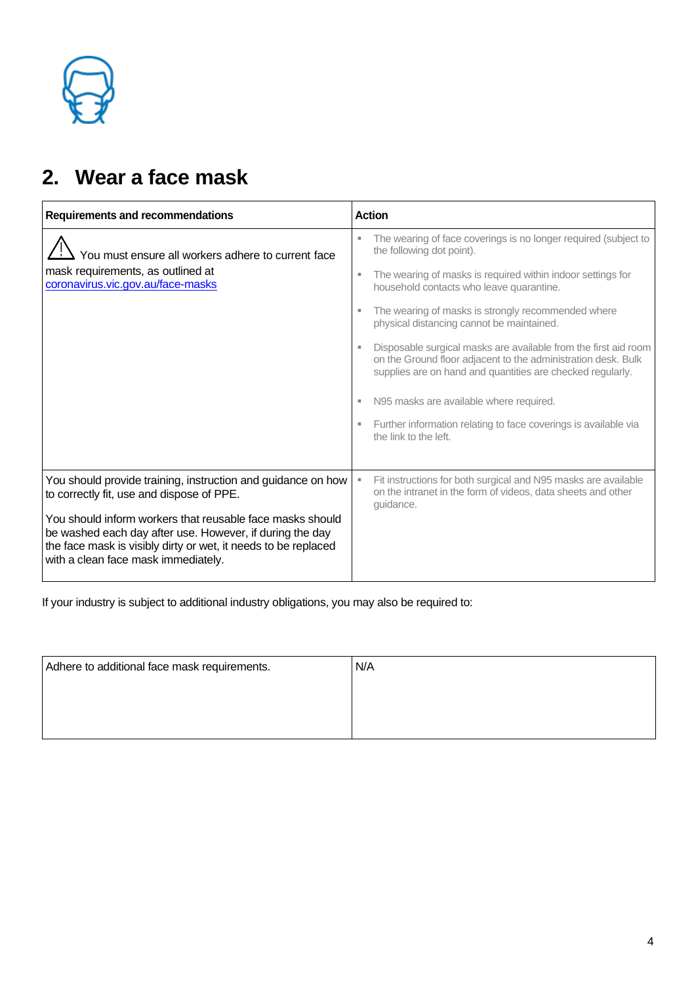

### **2. Wear a face mask**

| <b>Requirements and recommendations</b>                                                                                                                                                                                        | <b>Action</b>                                                                                                                                                                                  |
|--------------------------------------------------------------------------------------------------------------------------------------------------------------------------------------------------------------------------------|------------------------------------------------------------------------------------------------------------------------------------------------------------------------------------------------|
| You must ensure all workers adhere to current face                                                                                                                                                                             | The wearing of face coverings is no longer required (subject to<br>the following dot point).                                                                                                   |
| mask requirements, as outlined at<br>coronavirus.vic.gov.au/face-masks                                                                                                                                                         | The wearing of masks is required within indoor settings for<br>٠<br>household contacts who leave quarantine.                                                                                   |
|                                                                                                                                                                                                                                | The wearing of masks is strongly recommended where<br>physical distancing cannot be maintained.                                                                                                |
|                                                                                                                                                                                                                                | Disposable surgical masks are available from the first aid room<br>on the Ground floor adjacent to the administration desk. Bulk<br>supplies are on hand and quantities are checked regularly. |
|                                                                                                                                                                                                                                | N95 masks are available where required.<br>п                                                                                                                                                   |
|                                                                                                                                                                                                                                | Further information relating to face coverings is available via<br>the link to the left.                                                                                                       |
|                                                                                                                                                                                                                                |                                                                                                                                                                                                |
| You should provide training, instruction and guidance on how<br>to correctly fit, use and dispose of PPE.                                                                                                                      | Fit instructions for both surgical and N95 masks are available<br>on the intranet in the form of videos, data sheets and other<br>quidance.                                                    |
| You should inform workers that reusable face masks should<br>be washed each day after use. However, if during the day<br>the face mask is visibly dirty or wet, it needs to be replaced<br>with a clean face mask immediately. |                                                                                                                                                                                                |

| Adhere to additional face mask requirements. | N/A |
|----------------------------------------------|-----|
|                                              |     |
|                                              |     |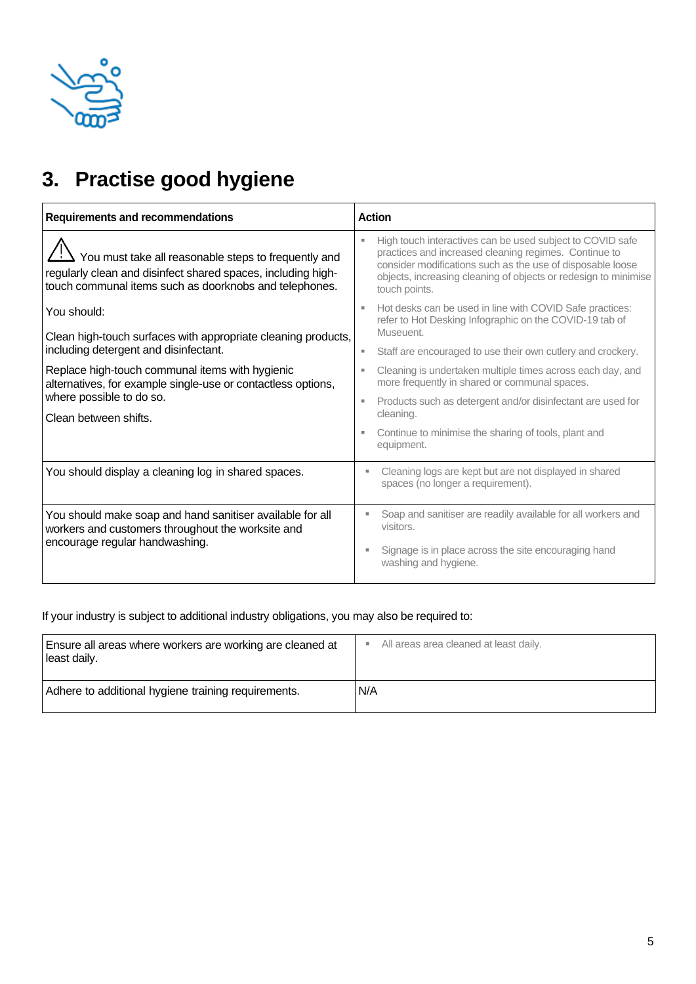

## **3. Practise good hygiene**

| <b>Requirements and recommendations</b>                                                                                                                                        | <b>Action</b>                                                                                                                                                                                                                                                        |
|--------------------------------------------------------------------------------------------------------------------------------------------------------------------------------|----------------------------------------------------------------------------------------------------------------------------------------------------------------------------------------------------------------------------------------------------------------------|
| You must take all reasonable steps to frequently and<br>regularly clean and disinfect shared spaces, including high-<br>touch communal items such as doorknobs and telephones. | High touch interactives can be used subject to COVID safe<br>practices and increased cleaning regimes. Continue to<br>consider modifications such as the use of disposable loose<br>objects, increasing cleaning of objects or redesign to minimise<br>touch points. |
| You should:<br>Clean high-touch surfaces with appropriate cleaning products,                                                                                                   | Hot desks can be used in line with COVID Safe practices:<br>refer to Hot Desking Infographic on the COVID-19 tab of<br>Museuent.                                                                                                                                     |
| including detergent and disinfectant.                                                                                                                                          | Staff are encouraged to use their own cutlery and crockery.                                                                                                                                                                                                          |
| Replace high-touch communal items with hygienic<br>alternatives, for example single-use or contactless options,                                                                | Cleaning is undertaken multiple times across each day, and<br>more frequently in shared or communal spaces.                                                                                                                                                          |
| where possible to do so.<br>Clean between shifts.                                                                                                                              | Products such as detergent and/or disinfectant are used for<br>cleaning.                                                                                                                                                                                             |
|                                                                                                                                                                                | Continue to minimise the sharing of tools, plant and<br>equipment.                                                                                                                                                                                                   |
| You should display a cleaning log in shared spaces.                                                                                                                            | Cleaning logs are kept but are not displayed in shared<br>spaces (no longer a requirement).                                                                                                                                                                          |
| You should make soap and hand sanitiser available for all<br>workers and customers throughout the worksite and                                                                 | Soap and sanitiser are readily available for all workers and<br>visitors.                                                                                                                                                                                            |
| encourage regular handwashing.                                                                                                                                                 | Signage is in place across the site encouraging hand<br>۸<br>washing and hygiene.                                                                                                                                                                                    |

| Ensure all areas where workers are working are cleaned at | All areas area cleaned at least daily. |
|-----------------------------------------------------------|----------------------------------------|
| least daily.                                              | ٠                                      |
| Adhere to additional hygiene training requirements.       | N/A                                    |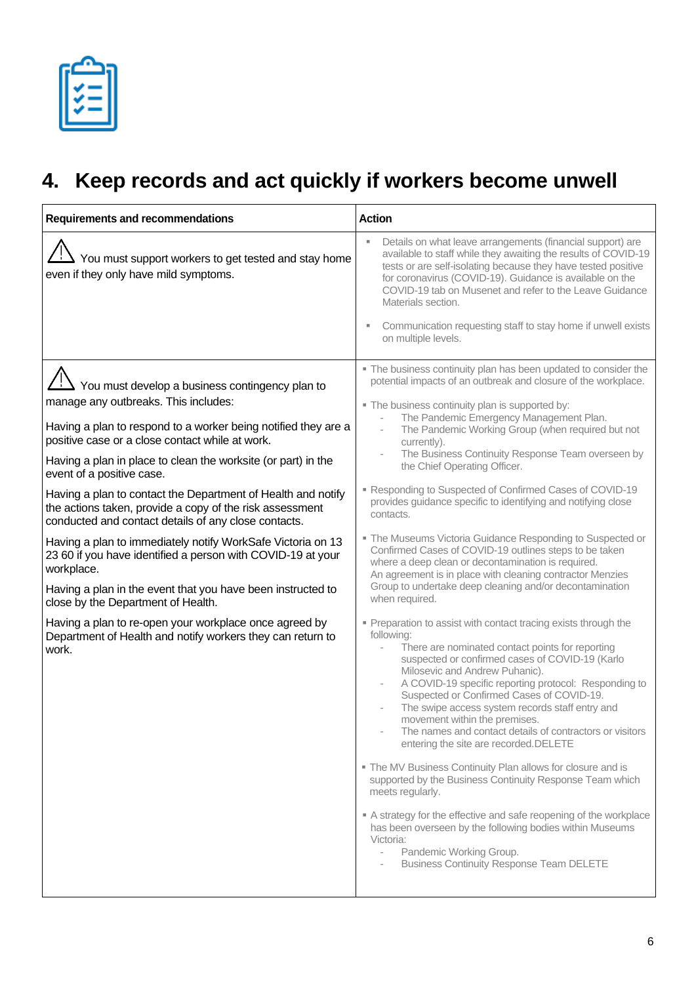## **4. Keep records and act quickly if workers become unwell**

| <b>Requirements and recommendations</b>                                                                                                                                                                                                                                                                                                                                                                                                                                                                                                                                                                                                                                                                                                                                                                                                                                                          | <b>Action</b>                                                                                                                                                                                                                                                                                                                                                                                                                                                                                                                                                                                                                                                                                                                                                                                                                                                                                                                                                                                                                                                                                                                                                                                                                                                                                                                                                                                                                                                                                                                                                                                                                                                                                                                                                                            |
|--------------------------------------------------------------------------------------------------------------------------------------------------------------------------------------------------------------------------------------------------------------------------------------------------------------------------------------------------------------------------------------------------------------------------------------------------------------------------------------------------------------------------------------------------------------------------------------------------------------------------------------------------------------------------------------------------------------------------------------------------------------------------------------------------------------------------------------------------------------------------------------------------|------------------------------------------------------------------------------------------------------------------------------------------------------------------------------------------------------------------------------------------------------------------------------------------------------------------------------------------------------------------------------------------------------------------------------------------------------------------------------------------------------------------------------------------------------------------------------------------------------------------------------------------------------------------------------------------------------------------------------------------------------------------------------------------------------------------------------------------------------------------------------------------------------------------------------------------------------------------------------------------------------------------------------------------------------------------------------------------------------------------------------------------------------------------------------------------------------------------------------------------------------------------------------------------------------------------------------------------------------------------------------------------------------------------------------------------------------------------------------------------------------------------------------------------------------------------------------------------------------------------------------------------------------------------------------------------------------------------------------------------------------------------------------------------|
| You must support workers to get tested and stay home<br>even if they only have mild symptoms.                                                                                                                                                                                                                                                                                                                                                                                                                                                                                                                                                                                                                                                                                                                                                                                                    | Details on what leave arrangements (financial support) are<br>available to staff while they awaiting the results of COVID-19<br>tests or are self-isolating because they have tested positive<br>for coronavirus (COVID-19). Guidance is available on the<br>COVID-19 tab on Musenet and refer to the Leave Guidance<br>Materials section.<br>Communication requesting staff to stay home if unwell exists<br>on multiple levels.                                                                                                                                                                                                                                                                                                                                                                                                                                                                                                                                                                                                                                                                                                                                                                                                                                                                                                                                                                                                                                                                                                                                                                                                                                                                                                                                                        |
| $\frac{11}{12}$ You must develop a business contingency plan to<br>manage any outbreaks. This includes:<br>Having a plan to respond to a worker being notified they are a<br>positive case or a close contact while at work.<br>Having a plan in place to clean the worksite (or part) in the<br>event of a positive case.<br>Having a plan to contact the Department of Health and notify<br>the actions taken, provide a copy of the risk assessment<br>conducted and contact details of any close contacts.<br>Having a plan to immediately notify WorkSafe Victoria on 13<br>23 60 if you have identified a person with COVID-19 at your<br>workplace.<br>Having a plan in the event that you have been instructed to<br>close by the Department of Health.<br>Having a plan to re-open your workplace once agreed by<br>Department of Health and notify workers they can return to<br>work. | " The business continuity plan has been updated to consider the<br>potential impacts of an outbreak and closure of the workplace.<br>" The business continuity plan is supported by:<br>The Pandemic Emergency Management Plan.<br>The Pandemic Working Group (when required but not<br>$\overline{\phantom{a}}$<br>currently).<br>The Business Continuity Response Team overseen by<br>the Chief Operating Officer.<br>Responding to Suspected of Confirmed Cases of COVID-19<br>provides guidance specific to identifying and notifying close<br>contacts.<br>" The Museums Victoria Guidance Responding to Suspected or<br>Confirmed Cases of COVID-19 outlines steps to be taken<br>where a deep clean or decontamination is required.<br>An agreement is in place with cleaning contractor Menzies<br>Group to undertake deep cleaning and/or decontamination<br>when required.<br>" Preparation to assist with contact tracing exists through the<br>following:<br>There are nominated contact points for reporting<br>suspected or confirmed cases of COVID-19 (Karlo<br>Milosevic and Andrew Puhanic).<br>A COVID-19 specific reporting protocol: Responding to<br>Suspected or Confirmed Cases of COVID-19.<br>The swipe access system records staff entry and<br>movement within the premises.<br>The names and contact details of contractors or visitors<br>entering the site are recorded. DELETE<br>• The MV Business Continuity Plan allows for closure and is<br>supported by the Business Continuity Response Team which<br>meets regularly.<br>A strategy for the effective and safe reopening of the workplace<br>has been overseen by the following bodies within Museums<br>Victoria:<br>Pandemic Working Group.<br><b>Business Continuity Response Team DELETE</b> |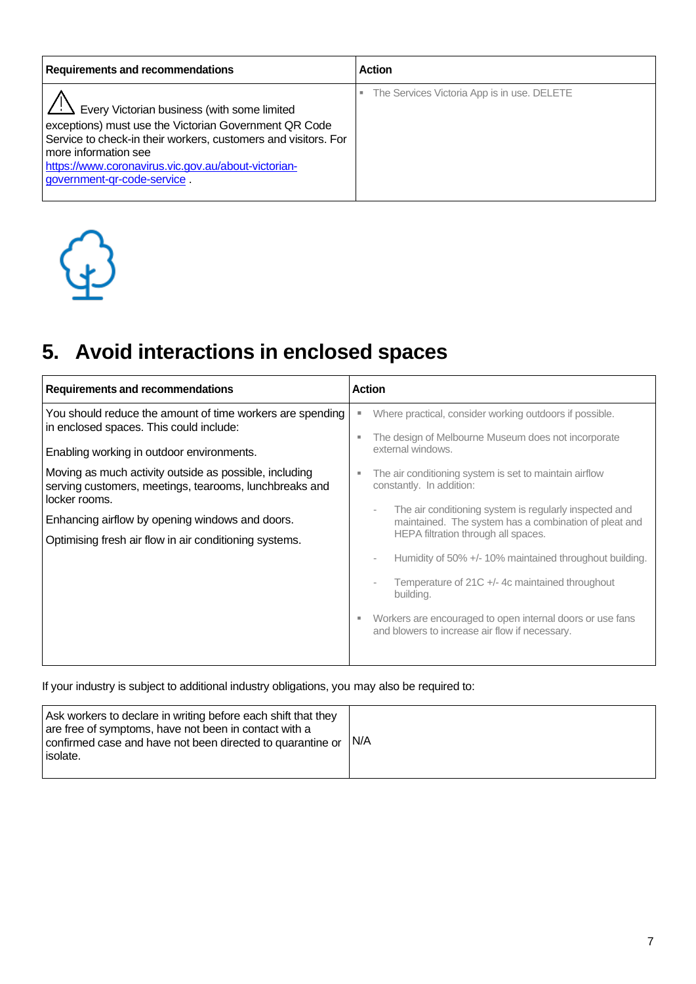| <b>Requirements and recommendations</b>                                                                                                                                                                                                                                                                  | <b>Action</b>                               |
|----------------------------------------------------------------------------------------------------------------------------------------------------------------------------------------------------------------------------------------------------------------------------------------------------------|---------------------------------------------|
| $\angle$ : $\angle$ Every Victorian business (with some limited<br>exceptions) must use the Victorian Government QR Code<br>Service to check-in their workers, customers and visitors. For<br>more information see<br>https://www.coronavirus.vic.gov.au/about-victorian-<br>government-gr-code-service. | The Services Victoria App is in use. DELETE |



# **5. Avoid interactions in enclosed spaces**

| <b>Requirements and recommendations</b>                                                                                                                                                                                                                                                                                                                                                             | <b>Action</b>                                                                                                                                                                                                                                                                                                                                                                                                                                                                                                                                                                                                                                          |
|-----------------------------------------------------------------------------------------------------------------------------------------------------------------------------------------------------------------------------------------------------------------------------------------------------------------------------------------------------------------------------------------------------|--------------------------------------------------------------------------------------------------------------------------------------------------------------------------------------------------------------------------------------------------------------------------------------------------------------------------------------------------------------------------------------------------------------------------------------------------------------------------------------------------------------------------------------------------------------------------------------------------------------------------------------------------------|
| You should reduce the amount of time workers are spending<br>in enclosed spaces. This could include:<br>Enabling working in outdoor environments.<br>Moving as much activity outside as possible, including<br>serving customers, meetings, tearooms, lunchbreaks and<br>locker rooms.<br>Enhancing airflow by opening windows and doors.<br>Optimising fresh air flow in air conditioning systems. | Where practical, consider working outdoors if possible.<br>Е<br>The design of Melbourne Museum does not incorporate<br>٠<br>external windows.<br>The air conditioning system is set to maintain airflow<br>٠<br>constantly. In addition:<br>The air conditioning system is regularly inspected and<br>÷<br>maintained. The system has a combination of pleat and<br>HEPA filtration through all spaces.<br>Humidity of 50% +/- 10% maintained throughout building.<br>Temperature of $21C + 4c$ maintained throughout<br>building.<br>Workers are encouraged to open internal doors or use fans<br>E<br>and blowers to increase air flow if necessary. |
|                                                                                                                                                                                                                                                                                                                                                                                                     |                                                                                                                                                                                                                                                                                                                                                                                                                                                                                                                                                                                                                                                        |

| Ask workers to declare in writing before each shift that they<br>are free of symptoms, have not been in contact with a<br>confirmed case and have not been directed to quarantine or<br>isolate. | IN/A |
|--------------------------------------------------------------------------------------------------------------------------------------------------------------------------------------------------|------|
|--------------------------------------------------------------------------------------------------------------------------------------------------------------------------------------------------|------|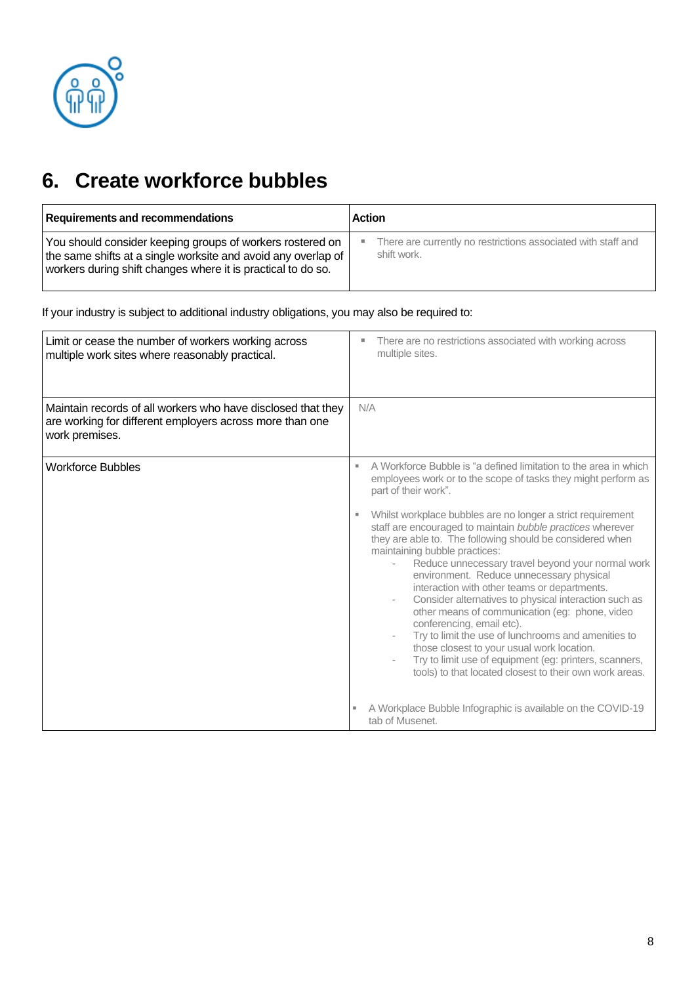

### **6. Create workforce bubbles**

| <b>Requirements and recommendations</b>                       | <b>Action</b>                                                 |
|---------------------------------------------------------------|---------------------------------------------------------------|
| You should consider keeping groups of workers rostered on     | There are currently no restrictions associated with staff and |
| the same shifts at a single worksite and avoid any overlap of | ٠                                                             |
| workers during shift changes where it is practical to do so.  | shift work.                                                   |

| Limit or cease the number of workers working across<br>multiple work sites where reasonably practical.                                     | There are no restrictions associated with working across<br>multiple sites.                                                                                                                                                                                                                                                                                                                                                                                                                                                                                                                                                                                                                                                                                                                                                                                                                                                                                                               |
|--------------------------------------------------------------------------------------------------------------------------------------------|-------------------------------------------------------------------------------------------------------------------------------------------------------------------------------------------------------------------------------------------------------------------------------------------------------------------------------------------------------------------------------------------------------------------------------------------------------------------------------------------------------------------------------------------------------------------------------------------------------------------------------------------------------------------------------------------------------------------------------------------------------------------------------------------------------------------------------------------------------------------------------------------------------------------------------------------------------------------------------------------|
| Maintain records of all workers who have disclosed that they<br>are working for different employers across more than one<br>work premises. | N/A                                                                                                                                                                                                                                                                                                                                                                                                                                                                                                                                                                                                                                                                                                                                                                                                                                                                                                                                                                                       |
| <b>Workforce Bubbles</b>                                                                                                                   | A Workforce Bubble is "a defined limitation to the area in which<br>employees work or to the scope of tasks they might perform as<br>part of their work".<br>Whilst workplace bubbles are no longer a strict requirement<br>staff are encouraged to maintain bubble practices wherever<br>they are able to. The following should be considered when<br>maintaining bubble practices:<br>Reduce unnecessary travel beyond your normal work<br>environment. Reduce unnecessary physical<br>interaction with other teams or departments.<br>Consider alternatives to physical interaction such as<br>other means of communication (eg: phone, video<br>conferencing, email etc).<br>Try to limit the use of lunchrooms and amenities to<br>those closest to your usual work location.<br>Try to limit use of equipment (eg: printers, scanners,<br>tools) to that located closest to their own work areas.<br>A Workplace Bubble Infographic is available on the COVID-19<br>tab of Musenet. |